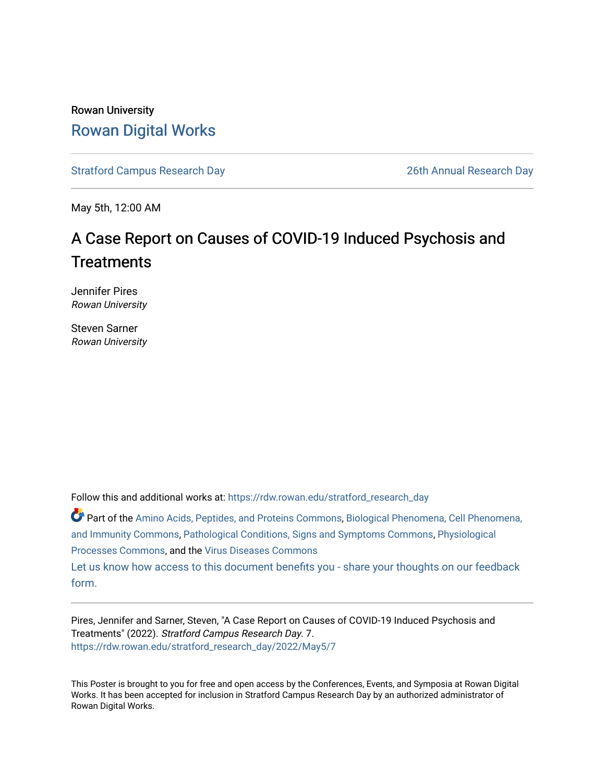### Rowan University [Rowan Digital Works](https://rdw.rowan.edu/)

[Stratford Campus Research Day](https://rdw.rowan.edu/stratford_research_day) [26th Annual Research Day](https://rdw.rowan.edu/stratford_research_day/2022) 

May 5th, 12:00 AM

### A Case Report on Causes of COVID-19 Induced Psychosis and **Treatments**

Jennifer Pires Rowan University

Steven Sarner Rowan University

Follow this and additional works at: [https://rdw.rowan.edu/stratford\\_research\\_day](https://rdw.rowan.edu/stratford_research_day?utm_source=rdw.rowan.edu%2Fstratford_research_day%2F2022%2FMay5%2F7&utm_medium=PDF&utm_campaign=PDFCoverPages)

Part of the [Amino Acids, Peptides, and Proteins Commons](https://network.bepress.com/hgg/discipline/954?utm_source=rdw.rowan.edu%2Fstratford_research_day%2F2022%2FMay5%2F7&utm_medium=PDF&utm_campaign=PDFCoverPages), [Biological Phenomena, Cell Phenomena,](https://network.bepress.com/hgg/discipline/958?utm_source=rdw.rowan.edu%2Fstratford_research_day%2F2022%2FMay5%2F7&utm_medium=PDF&utm_campaign=PDFCoverPages)  [and Immunity Commons](https://network.bepress.com/hgg/discipline/958?utm_source=rdw.rowan.edu%2Fstratford_research_day%2F2022%2FMay5%2F7&utm_medium=PDF&utm_campaign=PDFCoverPages), [Pathological Conditions, Signs and Symptoms Commons,](https://network.bepress.com/hgg/discipline/1004?utm_source=rdw.rowan.edu%2Fstratford_research_day%2F2022%2FMay5%2F7&utm_medium=PDF&utm_campaign=PDFCoverPages) [Physiological](https://network.bepress.com/hgg/discipline/916?utm_source=rdw.rowan.edu%2Fstratford_research_day%2F2022%2FMay5%2F7&utm_medium=PDF&utm_campaign=PDFCoverPages) [Processes Commons](https://network.bepress.com/hgg/discipline/916?utm_source=rdw.rowan.edu%2Fstratford_research_day%2F2022%2FMay5%2F7&utm_medium=PDF&utm_campaign=PDFCoverPages), and the [Virus Diseases Commons](https://network.bepress.com/hgg/discipline/998?utm_source=rdw.rowan.edu%2Fstratford_research_day%2F2022%2FMay5%2F7&utm_medium=PDF&utm_campaign=PDFCoverPages) 

[Let us know how access to this document benefits you - share your thoughts on our feedback](https://www.lib.rowan.edu/rdw-feedback?ref=https://rdw.rowan.edu/stratford_research_day/2022/May5/7) [form.](https://www.lib.rowan.edu/rdw-feedback?ref=https://rdw.rowan.edu/stratford_research_day/2022/May5/7)

Pires, Jennifer and Sarner, Steven, "A Case Report on Causes of COVID-19 Induced Psychosis and Treatments" (2022). Stratford Campus Research Day. 7. [https://rdw.rowan.edu/stratford\\_research\\_day/2022/May5/7](https://rdw.rowan.edu/stratford_research_day/2022/May5/7?utm_source=rdw.rowan.edu%2Fstratford_research_day%2F2022%2FMay5%2F7&utm_medium=PDF&utm_campaign=PDFCoverPages)

This Poster is brought to you for free and open access by the Conferences, Events, and Symposia at Rowan Digital Works. It has been accepted for inclusion in Stratford Campus Research Day by an authorized administrator of Rowan Digital Works.